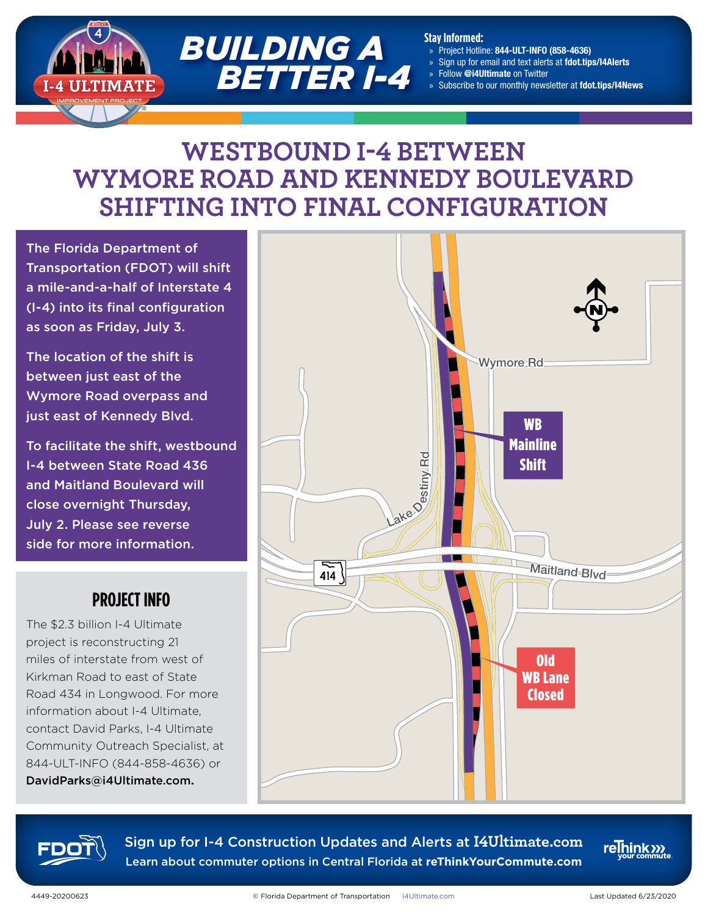

#### **Stay Informed:**

- » Project Hotline: 844-ULT-INFO (858-4636)
- » Sign up for email and text alerts at fdot.tips/I4Alerts
- » Follow @i4Ultimate on Twitter
- » Subscribe to our monthly newsletter at fdot.tips/I4News

# **WESTBOUND I-4 BETWEEN WYMORE ROAD AND KENNEDY BOULEVARD SHIFTING INTO FINAL CONFIGURATION**

The Florida Department of Transportation (FDOT) will shift a mile-and-a-half of Interstate 4 (I-4) into its final configuration as soon as Friday, July 3.

The location of the shift is between just east of the Wymore Road overpass and just east of Kennedy Blvd.

To facilitate the shift, westbound I-4 between State Road 436 and Maitland Boulevard will close overnight Thursday, July 2. Please see reverse side for more information.

### **PROJECT INFO**

The \$2.3 billion I-4 Ultimate project is reconstructing 21 miles of interstate from west of Kirkman Road to east of State Road 434 in Longwood. For more information about I-4 Ultimate, contact David Parks, I-4 Ultimate Community Outreach Specialist, at 844-ULT-INFO (844-858-4636) or DavidParks@i4Ultimate.com.





Sign up for I-4 Construction Updates and Alerts at **I4Ultimate.com** Learn about commuter options in Central Florida at **reThinkYourCommute.com**